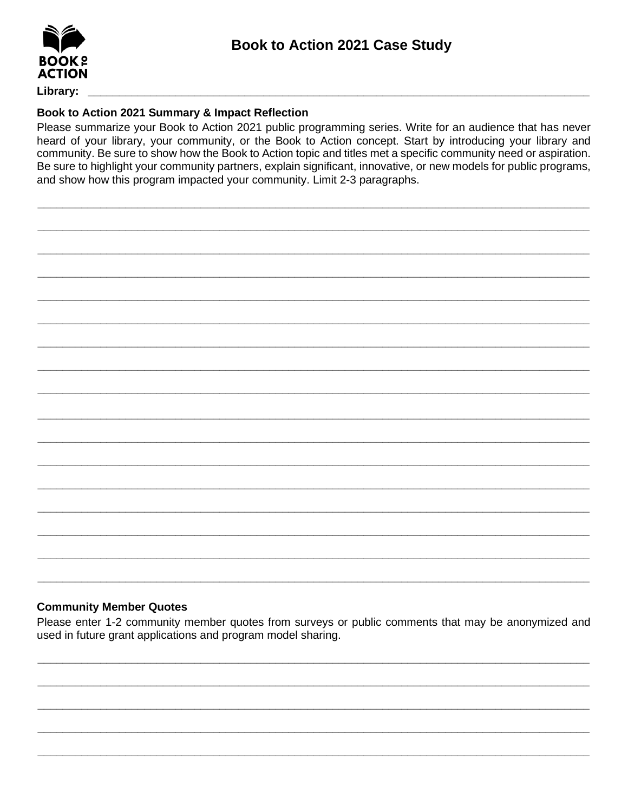

Library:

## Book to Action 2021 Summary & Impact Reflection

Please summarize your Book to Action 2021 public programming series. Write for an audience that has never heard of your library, your community, or the Book to Action concept. Start by introducing your library and community. Be sure to show how the Book to Action topic and titles met a specific community need or aspiration. Be sure to highlight your community partners, explain significant, innovative, or new models for public programs, and show how this program impacted your community. Limit 2-3 paragraphs.

## **Community Member Quotes**

Please enter 1-2 community member quotes from surveys or public comments that may be anonymized and used in future grant applications and program model sharing.